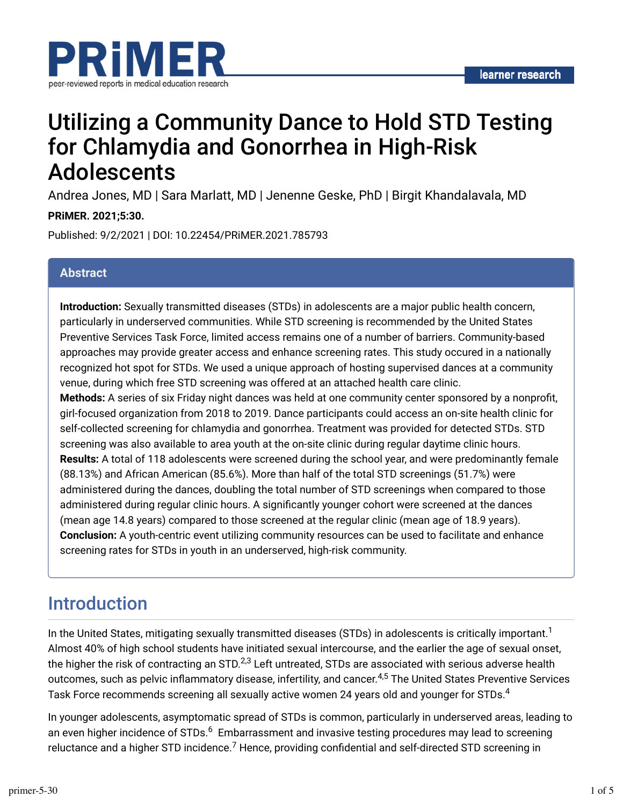

# Utilizing a Community Dance to Hold STD Testing for Chlamydia and Gonorrhea in High-Risk Adolescents

Andrea Jones, MD | Sara Marlatt, MD | Jenenne Geske, PhD | Birgit Khandalavala, MD

#### **PRiMER. 2021;5:30.**

Published: 9/2/2021 | DOI: 10.22454/PRiMER.2021.785793

### **Abstract**

**Introduction:** Sexually transmitted diseases (STDs) in adolescents are a major public health concern, particularly in underserved communities. While STD screening is recommended by the United States Preventive Services Task Force, limited access remains one of a number of barriers. Community-based approaches may provide greater access and enhance screening rates. This study occured in a nationally recognized hot spot for STDs. We used a unique approach of hosting supervised dances at a community venue, during which free STD screening was offered at an attached health care clinic.

**Methods:** A series of six Friday night dances was held at one community center sponsored by a nonprofit, girl-focused organization from 2018 to 2019. Dance participants could access an on-site health clinic for self-collected screening for chlamydia and gonorrhea. Treatment was provided for detected STDs. STD screening was also available to area youth at the on-site clinic during regular daytime clinic hours. **Results:** A total of 118 adolescents were screened during the school year, and were predominantly female (88.13%) and African American (85.6%). More than half of the total STD screenings (51.7%) were administered during the dances, doubling the total number of STD screenings when compared to those administered during regular clinic hours. A significantly younger cohort were screened at the dances (mean age 14.8 years) compared to those screened at the regular clinic (mean age of 18.9 years). **Conclusion:** A youth-centric event utilizing community resources can be used to facilitate and enhance screening rates for STDs in youth in an underserved, high-risk community.

### Introduction

In the United States, mitigating sexually transmitted diseases (STDs) in adolescents is critically important. $^{\text{1}}$ Almost 40% of high school students have initiated sexual intercourse, and the earlier the age of sexual onset, the higher the risk of contracting an STD. $^{2,3}$  Left untreated, STDs are associated with serious adverse health outcomes, such as pelvic inflammatory disease, infertility, and cancer.<sup>4,5</sup> The United States Preventive Services Task Force recommends screening all sexually active women 24 years old and younger for STDs. $^{\rm 4}$ 

In younger adolescents, asymptomatic spread of STDs is common, particularly in underserved areas, leading to an even higher incidence of STDs. $^6\,$  Embarrassment and invasive testing procedures may lead to screening reluctance and a higher STD incidence. $^7$  Hence, providing confidential and self-directed STD screening in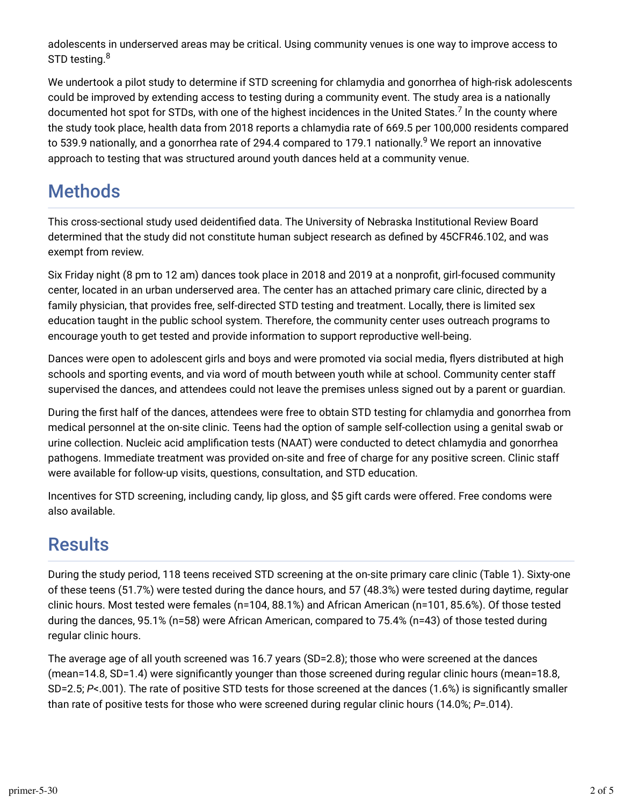adolescents in underserved areas may be critical. Using community venues is one way to improve access to STD testing.<sup>8</sup>

We undertook a pilot study to determine if STD screening for chlamydia and gonorrhea of high-risk adolescents could be improved by extending access to testing during a community event. The study area is a nationally documented hot spot for STDs, with one of the highest incidences in the United States. $^7$  In the county where the study took place, health data from 2018 reports a chlamydia rate of 669.5 per 100,000 residents compared to 539.9 nationally, and a gonorrhea rate of 294.4 compared to 179.1 nationally.<sup>9</sup> We report an innovative approach to testing that was structured around youth dances held at a community venue.

## **Methods**

This cross-sectional study used deidentified data. The University of Nebraska Institutional Review Board determined that the study did not constitute human subject research as defined by 45CFR46.102, and was exempt from review.

Six Friday night (8 pm to 12 am) dances took place in 2018 and 2019 at a nonprofit, girl-focused community center, located in an urban underserved area. The center has an attached primary care clinic, directed by a family physician, that provides free, self-directed STD testing and treatment. Locally, there is limited sex education taught in the public school system. Therefore, the community center uses outreach programs to encourage youth to get tested and provide information to support reproductive well-being.

Dances were open to adolescent girls and boys and were promoted via social media, flyers distributed at high schools and sporting events, and via word of mouth between youth while at school. Community center staff supervised the dances, and attendees could not leave the premises unless signed out by a parent or guardian.

During the first half of the dances, attendees were free to obtain STD testing for chlamydia and gonorrhea from medical personnel at the on-site clinic. Teens had the option of sample self-collection using a genital swab or urine collection. Nucleic acid amplification tests (NAAT) were conducted to detect chlamydia and gonorrhea pathogens. Immediate treatment was provided on-site and free of charge for any positive screen. Clinic staff were available for follow-up visits, questions, consultation, and STD education.

Incentives for STD screening, including candy, lip gloss, and \$5 gift cards were offered. Free condoms were also available.

## Results

During the study period, 118 teens received STD screening at the on-site primary care clinic (Table 1). Sixty-one of these teens (51.7%) were tested during the dance hours, and 57 (48.3%) were tested during daytime, regular clinic hours. Most tested were females (n=104, 88.1%) and African American (n=101, 85.6%). Of those tested during the dances, 95.1% (n=58) were African American, compared to 75.4% (n=43) of those tested during regular clinic hours.

The average age of all youth screened was 16.7 years (SD=2.8); those who were screened at the dances (mean=14.8, SD=1.4) were significantly younger than those screened during regular clinic hours (mean=18.8, SD=2.5; *P*<.001). The rate of positive STD tests for those screened at the dances (1.6%) is significantly smaller than rate of positive tests for those who were screened during regular clinic hours (14.0%; *P*=.014).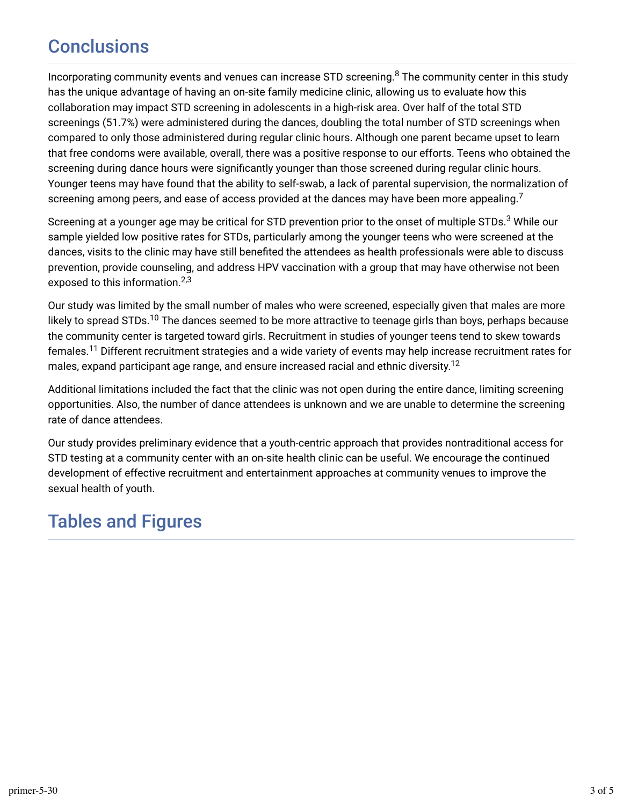## **Conclusions**

Incorporating community events and venues can increase STD screening. $^8$  The community center in this study has the unique advantage of having an on-site family medicine clinic, allowing us to evaluate how this collaboration may impact STD screening in adolescents in a high-risk area. Over half of the total STD screenings (51.7%) were administered during the dances, doubling the total number of STD screenings when compared to only those administered during regular clinic hours. Although one parent became upset to learn that free condoms were available, overall, there was a positive response to our efforts. Teens who obtained the screening during dance hours were significantly younger than those screened during regular clinic hours. Younger teens may have found that the ability to self-swab, a lack of parental supervision, the normalization of screening among peers, and ease of access provided at the dances may have been more appealing.<sup>7</sup>

Screening at a younger age may be critical for STD prevention prior to the onset of multiple STDs. $^3$  While our sample yielded low positive rates for STDs, particularly among the younger teens who were screened at the dances, visits to the clinic may have still benefited the attendees as health professionals were able to discuss prevention, provide counseling, and address HPV vaccination with a group that may have otherwise not been exposed to this information. 2,3

Our study was limited by the small number of males who were screened, especially given that males are more likely to spread STDs.<sup>10</sup> The dances seemed to be more attractive to teenage girls than boys, perhaps because the community center is targeted toward girls. Recruitment in studies of younger teens tend to skew towards females.<sup>11</sup> Different recruitment strategies and a wide variety of events may help increase recruitment rates for males, expand participant age range, and ensure increased racial and ethnic diversity. $^{12}$ 

Additional limitations included the fact that the clinic was not open during the entire dance, limiting screening opportunities. Also, the number of dance attendees is unknown and we are unable to determine the screening rate of dance attendees.

Our study provides preliminary evidence that a youth-centric approach that provides nontraditional access for STD testing at a community center with an on-site health clinic can be useful. We encourage the continued development of effective recruitment and entertainment approaches at community venues to improve the sexual health of youth.

## Tables and Figures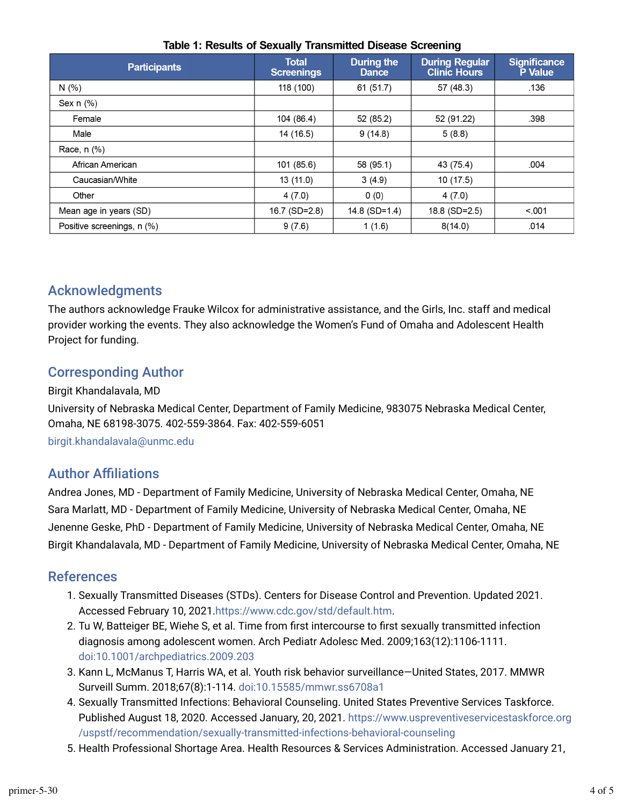| <b>Participants</b>        | <b>Total</b><br><b>Screenings</b> | <b>During the</b><br><b>Dance</b> | <b>During Regular</b><br><b>Clinic Hours</b> | <b>Significance</b><br>P Value |
|----------------------------|-----------------------------------|-----------------------------------|----------------------------------------------|--------------------------------|
| N(% )                      | 118 (100)                         | 61 (51.7)                         | 57 (48.3)                                    | .136                           |
| Sex $n$ $%$                |                                   |                                   |                                              |                                |
| Female                     | 104 (86.4)                        | 52 (85.2)                         | 52 (91.22)                                   | .398                           |
| Male                       | 14 (16.5)                         | 9(14.8)                           | 5(8.8)                                       |                                |
| Race, $n$ $%$              |                                   |                                   |                                              |                                |
| African American           | 101 (85.6)                        | 58 (95.1)                         | 43 (75.4)                                    | .004                           |
| Caucasian/White            | 13(11.0)                          | 3(4.9)                            | 10(17.5)                                     |                                |
| Other                      | 4(7.0)                            | 0(0)                              | 4(7.0)                                       |                                |
| Mean age in years (SD)     | 16.7 (SD=2.8)                     | 14.8 (SD=1.4)                     | 18.8 (SD=2.5)                                | < 001                          |
| Positive screenings, n (%) | 9(7.6)                            | 1(1.6)                            | 8(14.0)                                      | .014                           |

#### Table 1: Results of Sexually Transmitted Disease Screening

### Acknowledgments

The authors acknowledge Frauke Wilcox for administrative assistance, and the Girls, Inc. staff and medical provider working the events. They also acknowledge the Women's Fund of Omaha and Adolescent Health Project for funding.

### Corresponding Author

#### Birgit Khandalavala, MD

University of Nebraska Medical Center, Department of Family Medicine, 983075 Nebraska Medical Center, Omaha, NE 68198-3075. 402-559-3864. Fax: 402-559-6051

[birgit.khandalavala@unmc.edu](mailto:birgit.khandalavala@unmc.edu)

### **Author Affiliations**

Andrea Jones, MD - Department of Family Medicine, University of Nebraska Medical Center, Omaha, NE Sara Marlatt, MD - Department of Family Medicine, University of Nebraska Medical Center, Omaha, NE Jenenne Geske, PhD - Department of Family Medicine, University of Nebraska Medical Center, Omaha, NE Birgit Khandalavala, MD - Department of Family Medicine, University of Nebraska Medical Center, Omaha, NE

#### References

- 1. Sexually Transmitted Diseases (STDs). Centers for Disease Control and Prevention. Updated 2021. Accessed February 10, 2021.<https://www.cdc.gov/std/default.htm>.
- 2. Tu W, Batteiger BE, Wiehe S, et al. Time from first intercourse to first sexually transmitted infection diagnosis among adolescent women. Arch Pediatr Adolesc Med. 2009;163(12):1106-1111. [doi:10.1001/archpediatrics.2009.203](https://doi.org/10.1001/archpediatrics.2009.203)
- 3. Kann L, McManus T, Harris WA, et al. Youth risk behavior surveillance—United States, 2017. MMWR Surveill Summ. 2018;67(8):1-114. [doi:10.15585/mmwr.ss6708a1](https://doi.org/10.15585/mmwr.ss6708a1)
- 4. Sexually Transmitted Infections: Behavioral Counseling. United States Preventive Services Taskforce. Published August 18, 2020. Accessed January, 20, 2021. [https://www.uspreventiveservicestaskforce.org](https://www.uspreventiveservicestaskforce.org/uspstf/recommendation/sexually-transmitted-infections-behavioral-counseling) [/uspstf/recommendation/sexually-transmitted-infections-behavioral-counseling](https://www.uspreventiveservicestaskforce.org/uspstf/recommendation/sexually-transmitted-infections-behavioral-counseling)
- 5. Health Professional Shortage Area. Health Resources & Services Administration. Accessed January 21,